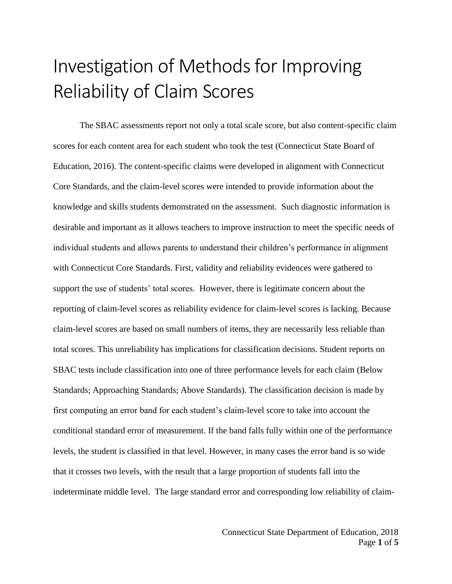## Investigation of Methods for Improving Reliability of Claim Scores

The SBAC assessments report not only a total scale score, but also content-specific claim scores for each content area for each student who took the test (Connecticut State Board of Education, 2016). The content-specific claims were developed in alignment with Connecticut Core Standards, and the claim-level scores were intended to provide information about the knowledge and skills students demonstrated on the assessment. Such diagnostic information is desirable and important as it allows teachers to improve instruction to meet the specific needs of individual students and allows parents to understand their children's performance in alignment with Connecticut Core Standards. First, validity and reliability evidences were gathered to support the use of students' total scores. However, there is legitimate concern about the reporting of claim-level scores as reliability evidence for claim-level scores is lacking. Because claim-level scores are based on small numbers of items, they are necessarily less reliable than total scores. This unreliability has implications for classification decisions. Student reports on SBAC tests include classification into one of three performance levels for each claim (Below Standards; Approaching Standards; Above Standards). The classification decision is made by first computing an error band for each student's claim-level score to take into account the conditional standard error of measurement. If the band falls fully within one of the performance levels, the student is classified in that level. However, in many cases the error band is so wide that it crosses two levels, with the result that a large proportion of students fall into the indeterminate middle level. The large standard error and corresponding low reliability of claim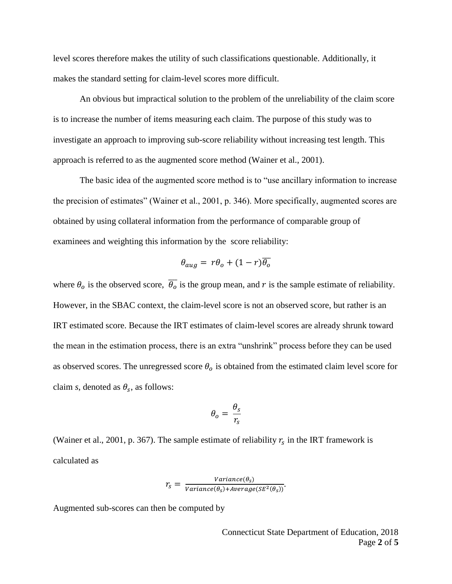level scores therefore makes the utility of such classifications questionable. Additionally, it makes the standard setting for claim-level scores more difficult.

An obvious but impractical solution to the problem of the unreliability of the claim score is to increase the number of items measuring each claim. The purpose of this study was to investigate an approach to improving sub-score reliability without increasing test length. This approach is referred to as the augmented score method (Wainer et al., 2001).

The basic idea of the augmented score method is to "use ancillary information to increase the precision of estimates" (Wainer et al., 2001, p. 346). More specifically, augmented scores are obtained by using collateral information from the performance of comparable group of examinees and weighting this information by the score reliability:

$$
\theta_{aug} = r\theta_o + (1 - r)\overline{\theta_o}
$$

where  $\theta_o$  is the observed score,  $\overline{\theta_o}$  is the group mean, and r is the sample estimate of reliability. However, in the SBAC context, the claim-level score is not an observed score, but rather is an IRT estimated score. Because the IRT estimates of claim-level scores are already shrunk toward the mean in the estimation process, there is an extra "unshrink" process before they can be used as observed scores. The unregressed score  $\theta_o$  is obtained from the estimated claim level score for claim *s*, denoted as  $\theta_s$ , as follows:

$$
\theta_o = \frac{\theta_s}{r_s}
$$

(Wainer et al., 2001, p. 367). The sample estimate of reliability  $r_s$  in the IRT framework is calculated as

$$
r_s = \frac{Variance(\theta_s)}{Variance(\theta_s) + Average(SE^2(\theta_s))}.
$$

Augmented sub-scores can then be computed by

Connecticut State Department of Education, 2018 Page **2** of **5**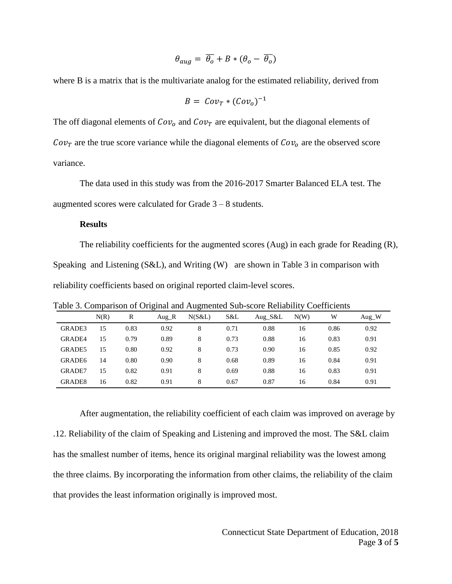$$
\theta_{aug} = \overline{\theta_o} + B * (\theta_o - \overline{\theta_o})
$$

where B is a matrix that is the multivariate analog for the estimated reliability, derived from

$$
B = Cov_T * (Cov_o)^{-1}
$$

The off diagonal elements of  $Cov<sub>o</sub>$  and  $Cov<sub>T</sub>$  are equivalent, but the diagonal elements of  $Cov_T$  are the true score variance while the diagonal elements of  $Cov_0$  are the observed score variance.

The data used in this study was from the 2016-2017 Smarter Balanced ELA test. The augmented scores were calculated for Grade 3 – 8 students.

## **Results**

The reliability coefficients for the augmented scores (Aug) in each grade for Reading (R), Speaking and Listening (S&L), and Writing (W) are shown in Table 3 in comparison with reliability coefficients based on original reported claim-level scores.

|                    |      |      | ັ                | ັ      |      |         |      |      |         |
|--------------------|------|------|------------------|--------|------|---------|------|------|---------|
|                    | N(R) | R    | Aug $\mathbf{R}$ | N(S&L) | S&L  | Aug S&L | N(W) | W    | $Aug$ W |
| GRADE3             | 15   | 0.83 | 0.92             | 8      | 0.71 | 0.88    | 16   | 0.86 | 0.92    |
| <b>GRADE4</b>      | 15   | 0.79 | 0.89             | 8      | 0.73 | 0.88    | 16   | 0.83 | 0.91    |
| GRADE5             | 15   | 0.80 | 0.92             | 8      | 0.73 | 0.90    | 16   | 0.85 | 0.92    |
| GRADE6             | 14   | 0.80 | 0.90             | 8      | 0.68 | 0.89    | 16   | 0.84 | 0.91    |
| <b>GRADE7</b>      | 15   | 0.82 | 0.91             | 8      | 0.69 | 0.88    | 16   | 0.83 | 0.91    |
| GRADE <sub>8</sub> | 16   | 0.82 | 0.91             | 8      | 0.67 | 0.87    | 16   | 0.84 | 0.91    |

Table 3. Comparison of Original and Augmented Sub-score Reliability Coefficients

After augmentation, the reliability coefficient of each claim was improved on average by .12. Reliability of the claim of Speaking and Listening and improved the most. The S&L claim has the smallest number of items, hence its original marginal reliability was the lowest among the three claims. By incorporating the information from other claims, the reliability of the claim that provides the least information originally is improved most.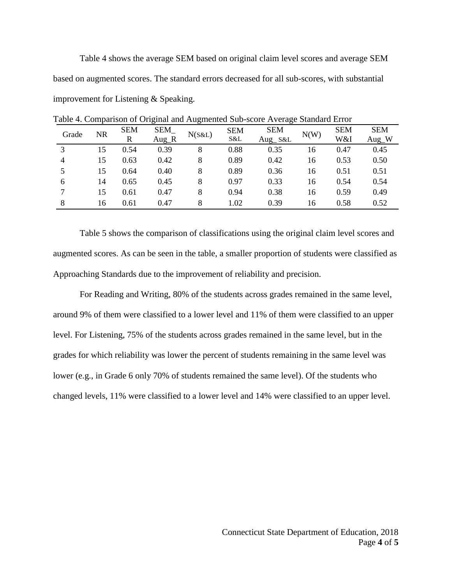Table 4 shows the average SEM based on original claim level scores and average SEM based on augmented scores. The standard errors decreased for all sub-scores, with substantial improvement for Listening & Speaking.

| Grade | <b>NR</b> | <b>SEM</b> | SEM     | N(S&L) | <b>SEM</b> | <b>SEM</b> | N(W) | <b>SEM</b> | <b>SEM</b> |
|-------|-----------|------------|---------|--------|------------|------------|------|------------|------------|
|       |           | R          | $Aug_R$ |        | S&L        | $Aug_S&L$  |      | W&I        | Aug_W      |
| 3     | 15        | 0.54       | 0.39    | 8      | 0.88       | 0.35       | 16   | 0.47       | 0.45       |
| 4     | 15        | 0.63       | 0.42    | 8      | 0.89       | 0.42       | 16   | 0.53       | 0.50       |
|       | 15        | 0.64       | 0.40    | 8      | 0.89       | 0.36       | 16   | 0.51       | 0.51       |
| 6     | 14        | 0.65       | 0.45    | 8      | 0.97       | 0.33       | 16   | 0.54       | 0.54       |
|       | 15        | 0.61       | 0.47    | 8      | 0.94       | 0.38       | 16   | 0.59       | 0.49       |
| 8     | 16        | 0.61       | 0.47    | 8      | 1.02       | 0.39       | 16   | 0.58       | 0.52       |

Table 4. Comparison of Original and Augmented Sub-score Average Standard Error

Table 5 shows the comparison of classifications using the original claim level scores and augmented scores. As can be seen in the table, a smaller proportion of students were classified as Approaching Standards due to the improvement of reliability and precision.

For Reading and Writing, 80% of the students across grades remained in the same level, around 9% of them were classified to a lower level and 11% of them were classified to an upper level. For Listening, 75% of the students across grades remained in the same level, but in the grades for which reliability was lower the percent of students remaining in the same level was lower (e.g., in Grade 6 only 70% of students remained the same level). Of the students who changed levels, 11% were classified to a lower level and 14% were classified to an upper level.